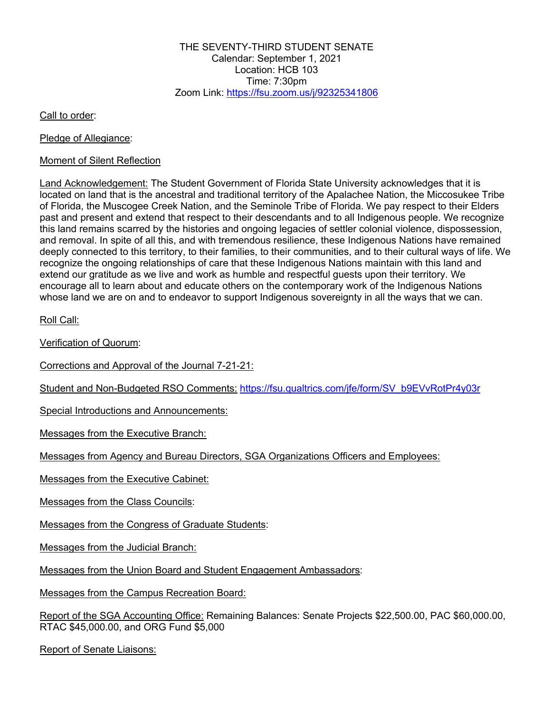THE SEVENTY-THIRD STUDENT SENATE Calendar: September 1, 2021 Location: HCB 103 Time:  $7:30$ pm Zoom Link: https://fsu.zoom.us/j/92325341806

Call to order:

Pledge of Allegiance:

#### Moment of Silent Reflection

Land Acknowledgement: The Student Government of Florida State University acknowledges that it is located on land that is the ancestral and traditional territory of the Apalachee Nation, the Miccosukee Tribe of Florida, the Muscogee Creek Nation, and the Seminole Tribe of Florida. We pay respect to their Elders past and present and extend that respect to their descendants and to all Indigenous people. We recognize this land remains scarred by the histories and ongoing legacies of settler colonial violence, dispossession, and removal. In spite of all this, and with tremendous resilience, these Indigenous Nations have remained deeply connected to this territory, to their families, to their communities, and to their cultural ways of life. We recognize the ongoing relationships of care that these Indigenous Nations maintain with this land and extend our gratitude as we live and work as humble and respectful guests upon their territory. We encourage all to learn about and educate others on the contemporary work of the Indigenous Nations whose land we are on and to endeavor to support Indigenous sovereignty in all the ways that we can.

Roll Call:

Verification of Quorum:

Corrections and Approval of the Journal 7-21-21:

Student and Non-Budgeted RSO Comments: https://fsu.qualtrics.com/jfe/form/SV\_b9EVvRotPr4y03r

Special Introductions and Announcements:

Messages from the Executive Branch:

Messages from Agency and Bureau Directors, SGA Organizations Officers and Employees:

Messages from the Executive Cabinet:

Messages from the Class Councils:

Messages from the Congress of Graduate Students:

Messages from the Judicial Branch:

Messages from the Union Board and Student Engagement Ambassadors:

Messages from the Campus Recreation Board:

Report of the SGA Accounting Office: Remaining Balances: Senate Projects \$22,500.00, PAC \$60,000.00, RTAC \$45,000.00, and ORG Fund \$5,000

Report of Senate Liaisons: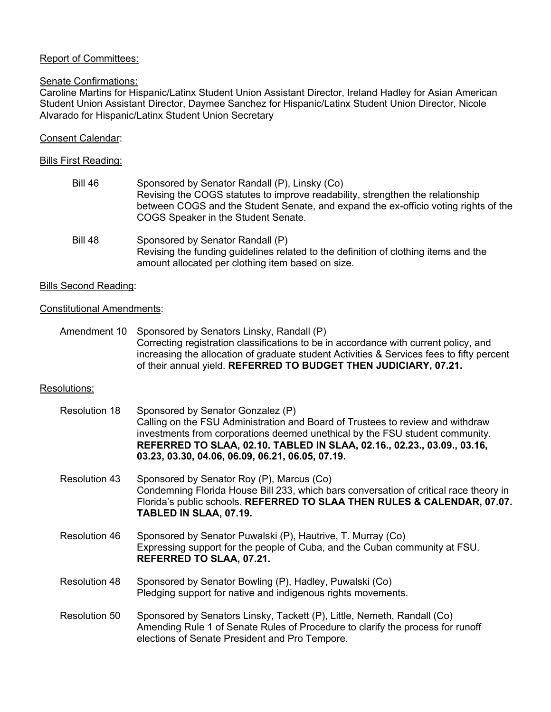# Report of Committees:

### Senate Confirmations:

Caroline Martins for Hispanic/Latinx Student Union Assistant Director, Ireland Hadley for Asian American Student Union Assistant Director, Daymee Sanchez for Hispanic/Latinx Student Union Director, Nicole Alvarado for Hispanic/Latinx Student Union Secretary

## Consent Calendar:

#### Bills First Reading:

| <b>Bill 46</b> | Sponsored by Senator Randall (P), Linsky (Co)<br>Revising the COGS statutes to improve readability, strengthen the relationship<br>between COGS and the Student Senate, and expand the ex-officio voting rights of the<br>COGS Speaker in the Student Senate. |
|----------------|---------------------------------------------------------------------------------------------------------------------------------------------------------------------------------------------------------------------------------------------------------------|
| <b>Bill 48</b> | Sponsored by Senator Randall (P)<br>Revising the funding guidelines related to the definition of clothing items and the<br>amount allocated per clothing item based on size.                                                                                  |

#### Bills Second Reading:

#### Constitutional Amendments:

Amendment 10 Sponsored by Senators Linsky, Randall (P) Correcting registration classifications to be in accordance with current policy, and increasing the allocation of graduate student Activities & Services fees to fifty percent of their annual yield. **REFERRED TO BUDGET THEN JUDICIARY, 07.21.**

## Resolutions:

| <b>Resolution 18</b> | Sponsored by Senator Gonzalez (P)<br>Calling on the FSU Administration and Board of Trustees to review and withdraw<br>investments from corporations deemed unethical by the FSU student community.<br>REFERRED TO SLAA, 02.10. TABLED IN SLAA, 02.16., 02.23., 03.09., 03.16,<br>03.23, 03.30, 04.06, 06.09, 06.21, 06.05, 07.19. |
|----------------------|------------------------------------------------------------------------------------------------------------------------------------------------------------------------------------------------------------------------------------------------------------------------------------------------------------------------------------|
| Resolution 43        | Sponsored by Senator Roy (P), Marcus (Co)<br>Condemning Florida House Bill 233, which bars conversation of critical race theory in<br>Florida's public schools. REFERRED TO SLAA THEN RULES & CALENDAR, 07.07.<br>TABLED IN SLAA, 07.19.                                                                                           |
| Resolution 46        | Sponsored by Senator Puwalski (P), Hautrive, T. Murray (Co)<br>Expressing support for the people of Cuba, and the Cuban community at FSU.<br>REFERRED TO SLAA, 07.21.                                                                                                                                                              |
| Resolution 48        | Sponsored by Senator Bowling (P), Hadley, Puwalski (Co)<br>Pledging support for native and indigenous rights movements.                                                                                                                                                                                                            |
| Resolution 50        | Sponsored by Senators Linsky, Tackett (P), Little, Nemeth, Randall (Co)<br>Amending Rule 1 of Senate Rules of Procedure to clarify the process for runoff<br>elections of Senate President and Pro Tempore.                                                                                                                        |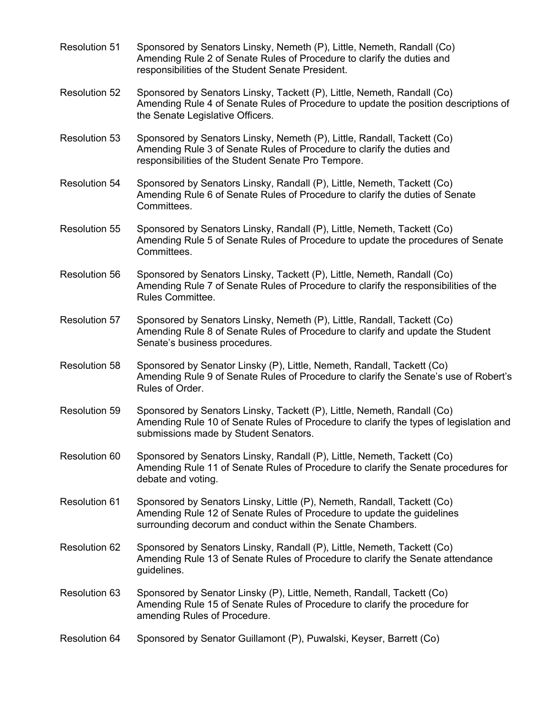- Resolution 51 Sponsored by Senators Linsky, Nemeth (P), Little, Nemeth, Randall (Co) Amending Rule 2 of Senate Rules of Procedure to clarify the duties and responsibilities of the Student Senate President.
- Resolution 52 Sponsored by Senators Linsky, Tackett (P), Little, Nemeth, Randall (Co) Amending Rule 4 of Senate Rules of Procedure to update the position descriptions of the Senate Legislative Officers.
- Resolution 53 Sponsored by Senators Linsky, Nemeth (P), Little, Randall, Tackett (Co) Amending Rule 3 of Senate Rules of Procedure to clarify the duties and responsibilities of the Student Senate Pro Tempore.
- Resolution 54 Sponsored by Senators Linsky, Randall (P), Little, Nemeth, Tackett (Co) Amending Rule 6 of Senate Rules of Procedure to clarify the duties of Senate Committees.
- Resolution 55 Sponsored by Senators Linsky, Randall (P), Little, Nemeth, Tackett (Co) Amending Rule 5 of Senate Rules of Procedure to update the procedures of Senate Committees.
- Resolution 56 Sponsored by Senators Linsky, Tackett (P), Little, Nemeth, Randall (Co) Amending Rule 7 of Senate Rules of Procedure to clarify the responsibilities of the Rules Committee.
- Resolution 57 Sponsored by Senators Linsky, Nemeth (P), Little, Randall, Tackett (Co) Amending Rule 8 of Senate Rules of Procedure to clarify and update the Student Senate's business procedures.
- Resolution 58 Sponsored by Senator Linsky (P), Little, Nemeth, Randall, Tackett (Co) Amending Rule 9 of Senate Rules of Procedure to clarify the Senate's use of Robert's Rules of Order.
- Resolution 59 Sponsored by Senators Linsky, Tackett (P), Little, Nemeth, Randall (Co) Amending Rule 10 of Senate Rules of Procedure to clarify the types of legislation and submissions made by Student Senators.
- Resolution 60 Sponsored by Senators Linsky, Randall (P), Little, Nemeth, Tackett (Co) Amending Rule 11 of Senate Rules of Procedure to clarify the Senate procedures for debate and voting.
- Resolution 61 Sponsored by Senators Linsky, Little (P), Nemeth, Randall, Tackett (Co) Amending Rule 12 of Senate Rules of Procedure to update the guidelines surrounding decorum and conduct within the Senate Chambers.
- Resolution 62 Sponsored by Senators Linsky, Randall (P), Little, Nemeth, Tackett (Co) Amending Rule 13 of Senate Rules of Procedure to clarify the Senate attendance guidelines.
- Resolution 63 Sponsored by Senator Linsky (P), Little, Nemeth, Randall, Tackett (Co) Amending Rule 15 of Senate Rules of Procedure to clarify the procedure for amending Rules of Procedure.
- Resolution 64 Sponsored by Senator Guillamont (P), Puwalski, Keyser, Barrett (Co)